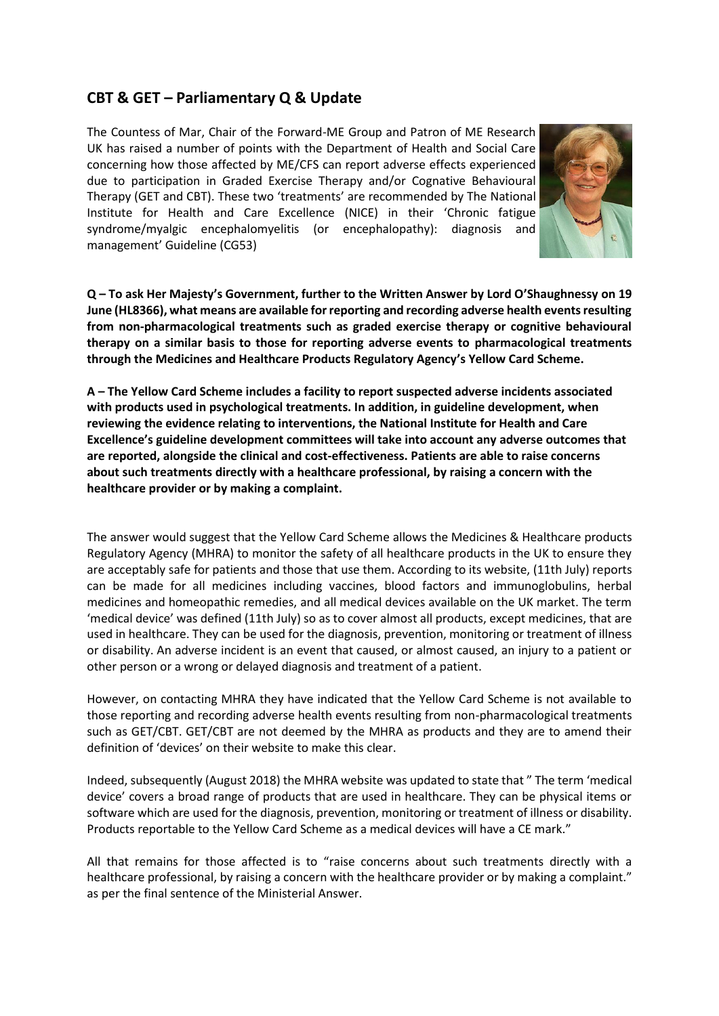## **CBT & GET – Parliamentary Q & Update**

The Countess of Mar, Chair of the Forward-ME Group and Patron of ME Research UK has raised a number of points with the Department of Health and Social Care concerning how those affected by ME/CFS can report adverse effects experienced due to participation in Graded Exercise Therapy and/or Cognative Behavioural Therapy (GET and CBT). These two 'treatments' are recommended by The National Institute for Health and Care Excellence (NICE) in their 'Chronic fatigue syndrome/myalgic encephalomyelitis (or encephalopathy): diagnosis and management' Guideline [\(CG53\)](https://www.nice.org.uk/guidance/cg53)



**Q – To ask Her Majesty's Government, further to the Written Answer by Lord O'Shaughnessy on 19 June (HL8366), what means are available for reporting and recording adverse health events resulting from non-pharmacological treatments such as graded exercise therapy or cognitive behavioural therapy on a similar basis to those for reporting adverse events to pharmacological treatments through the Medicines and Healthcare Products Regulatory Agency's Yellow Card Scheme.**

**A – The Yellow Card Scheme includes a facility to report suspected adverse incidents associated with products used in psychological treatments. In addition, in guideline development, when reviewing the evidence relating to interventions, the National Institute for Health and Care Excellence's guideline development committees will take into account any adverse outcomes that are reported, alongside the clinical and cost-effectiveness. Patients are able to raise concerns about such treatments directly with a healthcare professional, by raising a concern with the healthcare provider or by making a complaint.**

The answer would suggest that the Yellow Card Scheme allows the Medicines & Healthcare products Regulatory Agency (MHRA) to monitor the safety of all healthcare products in the UK to ensure they are acceptably safe for patients and those that use them. According to its website, (11th July) reports can be made for all medicines including vaccines, blood factors and immunoglobulins, herbal medicines and homeopathic remedies, and all medical devices available on the UK market. The term 'medical device' was defined (11th July) so as to cover almost all products, except medicines, that are used in healthcare. They can be used for the diagnosis, prevention, monitoring or treatment of illness or disability. An adverse incident is an event that caused, or almost caused, an injury to a patient or other person or a wrong or delayed diagnosis and treatment of a patient.

However, on contacting MHRA they have indicated that the Yellow Card Scheme is not available to those reporting and recording adverse health events resulting from non-pharmacological treatments such as GET/CBT. GET/CBT are not deemed by the MHRA as products and they are to amend their definition of 'devices' on their website to make this clear.

Indeed, subsequently (August 2018) the MHRA website was updated to state that " The term 'medical device' covers a broad range of products that are used in healthcare. They can be physical items or software which are used for the diagnosis, prevention, monitoring or treatment of illness or disability. Products reportable to the Yellow Card Scheme as a medical devices will have a CE mark."

All that remains for those affected is to "raise concerns about such treatments directly with a healthcare professional, by raising a concern with the healthcare provider or by making a complaint." as per the final sentence of the Ministerial Answer.